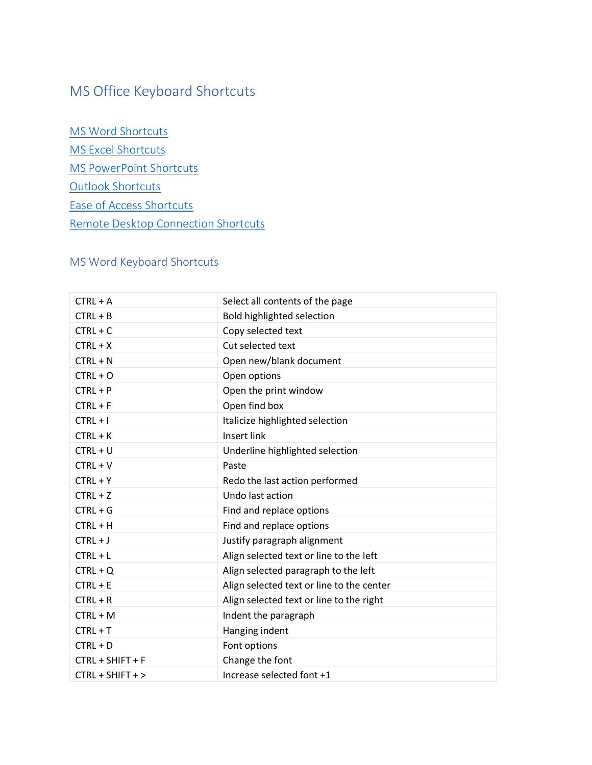# MS Office Keyboard Shortcuts

MS Word [Shortcuts](#page-0-0) MS Excel [Shortcuts](#page-1-0) [MS PowerPoint](#page-3-0) Shortcuts [Outlook Shortcuts](#page-4-0) [Ease of Access Shortcuts](#page-4-1) [Remote Desktop Connection Shortcuts](#page-5-0)

### <span id="page-0-0"></span>MS Word Keyboard Shortcuts

| $CTRL + A$         | Select all contents of the page           |
|--------------------|-------------------------------------------|
| $CTRL + B$         | Bold highlighted selection                |
| $CTRL + C$         | Copy selected text                        |
| $CTRL + X$         | Cut selected text                         |
| $CTRL + N$         | Open new/blank document                   |
| $CTRL + O$         | Open options                              |
| $CTRL + P$         | Open the print window                     |
| $CTRL + F$         | Open find box                             |
| $CTRL + I$         | Italicize highlighted selection           |
| $CTRL + K$         | Insert link                               |
| $CTRL + U$         | Underline highlighted selection           |
| $CTRL + V$         | Paste                                     |
| $CTRL + Y$         | Redo the last action performed            |
| $CTRL + Z$         | Undo last action                          |
| $CTRL + G$         | Find and replace options                  |
| $CTRL + H$         | Find and replace options                  |
| $CTRL + J$         | Justify paragraph alignment               |
| $CTRL + L$         | Align selected text or line to the left   |
| $CTRL + Q$         | Align selected paragraph to the left      |
| $CTRL + E$         | Align selected text or line to the center |
| $CTRL + R$         | Align selected text or line to the right  |
| $CTRL + M$         | Indent the paragraph                      |
| $CTRL + T$         | Hanging indent                            |
| $CTRL + D$         | Font options                              |
| CTRL + SHIFT + F   | Change the font                           |
| $CTRL + SHIFT + >$ | Increase selected font +1                 |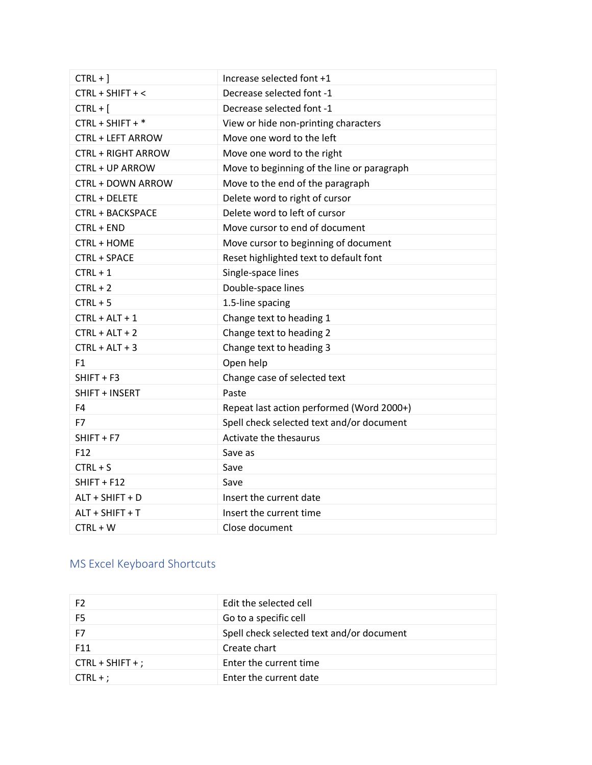| $CTRL +$ ]                | Increase selected font +1                  |
|---------------------------|--------------------------------------------|
| CTRL + SHIFT + <          | Decrease selected font -1                  |
| $CTRL + [$                | Decrease selected font -1                  |
| CTRL + SHIFT + *          | View or hide non-printing characters       |
| <b>CTRL + LEFT ARROW</b>  | Move one word to the left                  |
| <b>CTRL + RIGHT ARROW</b> | Move one word to the right                 |
| <b>CTRL + UP ARROW</b>    | Move to beginning of the line or paragraph |
| CTRL + DOWN ARROW         | Move to the end of the paragraph           |
| <b>CTRL + DELETE</b>      | Delete word to right of cursor             |
| <b>CTRL + BACKSPACE</b>   | Delete word to left of cursor              |
| CTRL + END                | Move cursor to end of document             |
| CTRL + HOME               | Move cursor to beginning of document       |
| CTRL + SPACE              | Reset highlighted text to default font     |
| $CTRL + 1$                | Single-space lines                         |
| $CTRL + 2$                | Double-space lines                         |
| $CTRL + 5$                | 1.5-line spacing                           |
| $CTRL + ALT + 1$          | Change text to heading 1                   |
| $CTRL + ALT + 2$          | Change text to heading 2                   |
| $CTRL + ALT + 3$          | Change text to heading 3                   |
| F <sub>1</sub>            | Open help                                  |
| $SHIFT + F3$              | Change case of selected text               |
| SHIFT + INSERT            | Paste                                      |
| F4                        | Repeat last action performed (Word 2000+)  |
| F7                        | Spell check selected text and/or document  |
| $SHIFT + F7$              | Activate the thesaurus                     |
| F <sub>12</sub>           | Save as                                    |
| $CTRL + S$                | Save                                       |
| SHIFT + F12               | Save                                       |
| ALT + SHIFT + D           | Insert the current date                    |
| ALT + SHIFT + T           | Insert the current time                    |
| $CTRL + W$                | Close document                             |

## <span id="page-1-0"></span>MS Excel Keyboard Shortcuts

| F <sub>2</sub>     | Edit the selected cell                    |
|--------------------|-------------------------------------------|
| F <sub>5</sub>     | Go to a specific cell                     |
| F7                 | Spell check selected text and/or document |
| F <sub>11</sub>    | Create chart                              |
| $CTRL + SHIFT +$ ; | Enter the current time                    |
| $CTRL +$           | Enter the current date                    |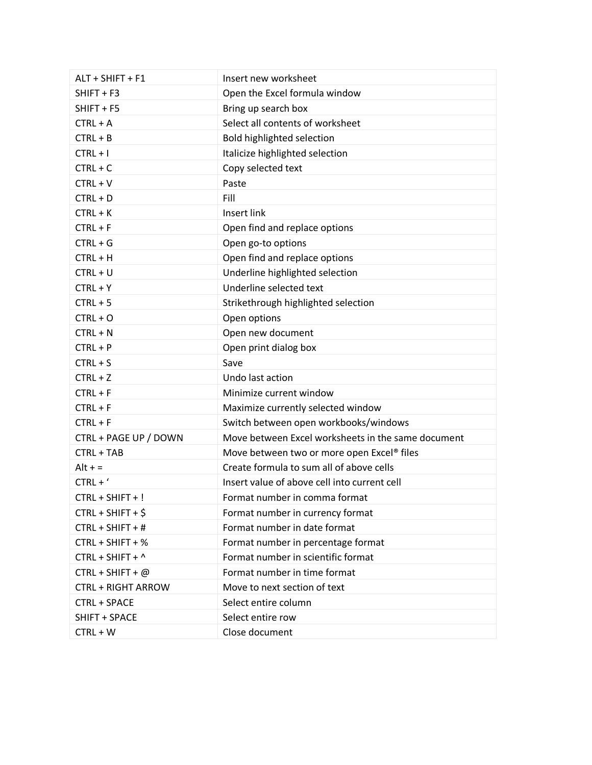| ALT + SHIFT + F1          | Insert new worksheet                               |
|---------------------------|----------------------------------------------------|
| SHIFT + F3                | Open the Excel formula window                      |
| $SHIFT + F5$              | Bring up search box                                |
| $CTRL + A$                | Select all contents of worksheet                   |
| $CTRL + B$                | <b>Bold highlighted selection</b>                  |
| $CTRL + I$                | Italicize highlighted selection                    |
| $CTRL + C$                | Copy selected text                                 |
| $CTRL + V$                | Paste                                              |
| $CTRL + D$                | Fill                                               |
| $CTRL + K$                | <b>Insert link</b>                                 |
| $CTRL + F$                | Open find and replace options                      |
| $CTRL + G$                | Open go-to options                                 |
| $CTRL + H$                | Open find and replace options                      |
| $CTRL + U$                | Underline highlighted selection                    |
| $CTRL + Y$                | Underline selected text                            |
| $CTRL + 5$                | Strikethrough highlighted selection                |
| $CTRL + O$                | Open options                                       |
| $CTRL + N$                | Open new document                                  |
| $CTRL + P$                | Open print dialog box                              |
| $CTRL + S$                | Save                                               |
| $CTRL + Z$                | Undo last action                                   |
| $CTRL + F$                | Minimize current window                            |
| $CTRL + F$                | Maximize currently selected window                 |
| $CTRL + F$                | Switch between open workbooks/windows              |
| CTRL + PAGE UP / DOWN     | Move between Excel worksheets in the same document |
| CTRL + TAB                | Move between two or more open Excel® files         |
| $Alt + =$                 | Create formula to sum all of above cells           |
| $CTRL + '$                | Insert value of above cell into current cell       |
| CTRL + SHIFT + !          | Format number in comma format                      |
| $CTRL + SHIFT + $$        | Format number in currency format                   |
| CTRL + SHIFT + #          | Format number in date format                       |
| CTRL + SHIFT + %          | Format number in percentage format                 |
| CTRL + SHIFT + ^          | Format number in scientific format                 |
| $CTRL + SHIFT + @$        | Format number in time format                       |
| <b>CTRL + RIGHT ARROW</b> | Move to next section of text                       |
| CTRL + SPACE              | Select entire column                               |
|                           |                                                    |
| SHIFT + SPACE             | Select entire row                                  |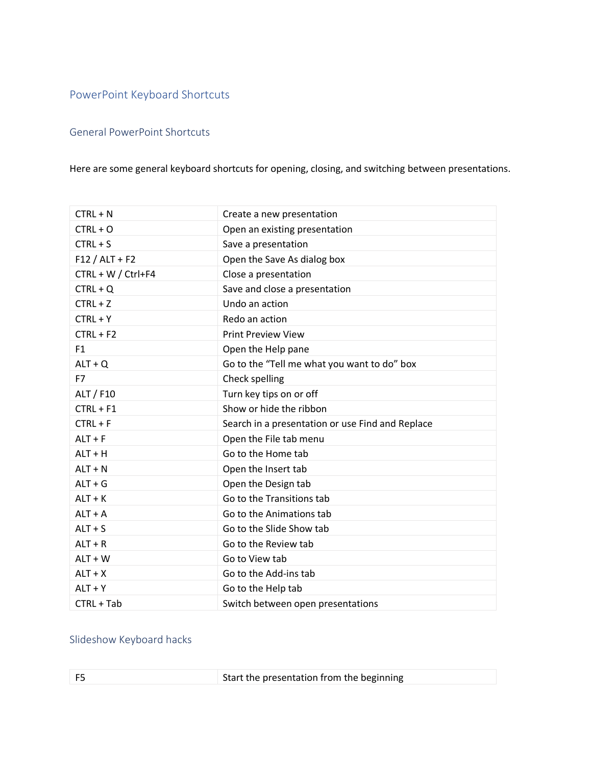### <span id="page-3-0"></span>PowerPoint Keyboard Shortcuts

### General PowerPoint Shortcuts

### Here are some general keyboard shortcuts for opening, closing, and switching between presentations.

| $CTRL + N$         | Create a new presentation                        |
|--------------------|--------------------------------------------------|
| $CTRL + O$         | Open an existing presentation                    |
| $CTRL + S$         | Save a presentation                              |
| $F12 / ALT + F2$   | Open the Save As dialog box                      |
| CTRL + W / Ctrl+F4 | Close a presentation                             |
| $CTRL + Q$         | Save and close a presentation                    |
| $CTRL + Z$         | Undo an action                                   |
| $CTRL + Y$         | Redo an action                                   |
| $CTRL + F2$        | <b>Print Preview View</b>                        |
| F <sub>1</sub>     | Open the Help pane                               |
| $ALT + Q$          | Go to the "Tell me what you want to do" box      |
| F7                 | Check spelling                                   |
| ALT / F10          | Turn key tips on or off                          |
| $CTRL + F1$        | Show or hide the ribbon                          |
| $CTRL + F$         | Search in a presentation or use Find and Replace |
| $ALT + F$          | Open the File tab menu                           |
| $ALT + H$          | Go to the Home tab                               |
| $ALT + N$          | Open the Insert tab                              |
| $ALT + G$          | Open the Design tab                              |
| $ALT + K$          | Go to the Transitions tab                        |
| $ALT + A$          | Go to the Animations tab                         |
| $ALT + S$          | Go to the Slide Show tab                         |
| $ALT + R$          | Go to the Review tab                             |
| $ALT + W$          | Go to View tab                                   |
| $ALT + X$          | Go to the Add-ins tab                            |
| $ALT + Y$          | Go to the Help tab                               |
| CTRL + Tab         | Switch between open presentations                |

### Slideshow Keyboard hacks

|  | F <sub>5</sub> | Start the presentation from the beginning |  |
|--|----------------|-------------------------------------------|--|
|--|----------------|-------------------------------------------|--|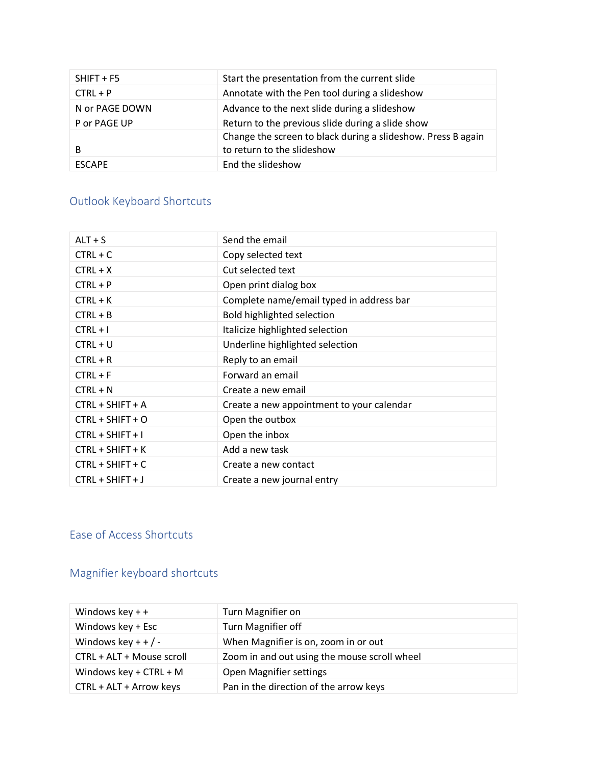| $SHIFT + F5$   | Start the presentation from the current slide                                              |
|----------------|--------------------------------------------------------------------------------------------|
| $CTRL + P$     | Annotate with the Pen tool during a slideshow                                              |
| N or PAGE DOWN | Advance to the next slide during a slideshow                                               |
| P or PAGE UP   | Return to the previous slide during a slide show                                           |
| B              | Change the screen to black during a slideshow. Press B again<br>to return to the slideshow |
| <b>FSCAPF</b>  | End the slideshow                                                                          |

## <span id="page-4-0"></span>Outlook Keyboard Shortcuts

| $ALT + S$          | Send the email                            |
|--------------------|-------------------------------------------|
| $CTRL + C$         | Copy selected text                        |
| $CTRL + X$         | Cut selected text                         |
| $CTRL + P$         | Open print dialog box                     |
| $CTRL + K$         | Complete name/email typed in address bar  |
| $CTRL + B$         | Bold highlighted selection                |
| $CTRL + I$         | Italicize highlighted selection           |
| $CTRL + U$         | Underline highlighted selection           |
| $CTRL + R$         | Reply to an email                         |
| $CTRL + F$         | Forward an email                          |
| $CTRL + N$         | Create a new email                        |
| CTRL + SHIFT + A   | Create a new appointment to your calendar |
| $CTRL + SHIFT + O$ | Open the outbox                           |
| $CTRL + SHIFT + I$ | Open the inbox                            |
| $CTRL + SHIFT + K$ | Add a new task                            |
| CTRL + SHIFT + C   | Create a new contact                      |
| $CTRL + SHIFT + J$ | Create a new journal entry                |

## <span id="page-4-1"></span>Ease of Access Shortcuts

## Magnifier keyboard shortcuts

| Windows key $++$          | Turn Magnifier on                            |
|---------------------------|----------------------------------------------|
| Windows key + Esc         | Turn Magnifier off                           |
| Windows key + + $/ -$     | When Magnifier is on, zoom in or out         |
| CTRL + ALT + Mouse scroll | Zoom in and out using the mouse scroll wheel |
| Windows key + $CTRL + M$  | Open Magnifier settings                      |
| CTRL + ALT + Arrow keys   | Pan in the direction of the arrow keys       |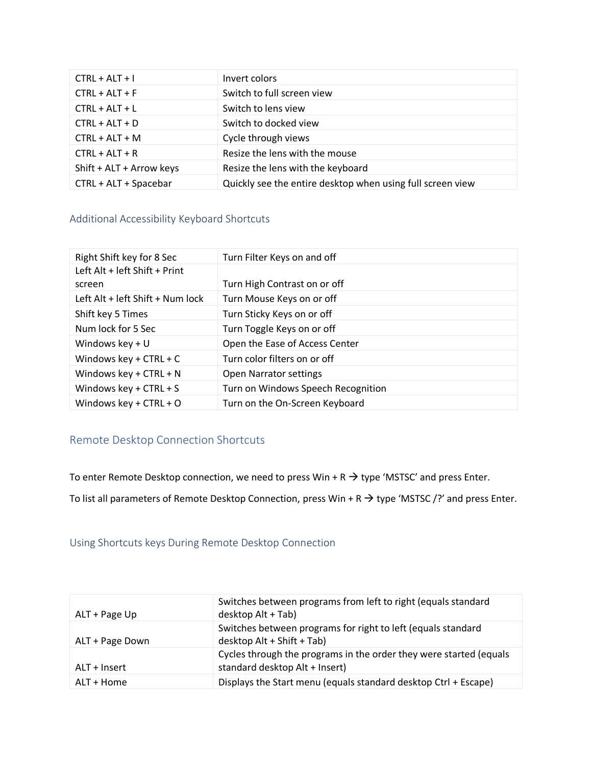| $CTRL + ALT + I$         | Invert colors                                              |
|--------------------------|------------------------------------------------------------|
| $CTRL + ALT + F$         | Switch to full screen view                                 |
| $CTRL + ALT + L$         | Switch to lens view                                        |
| $CTRL + ALT + D$         | Switch to docked view                                      |
| $CTRL + ALT + M$         | Cycle through views                                        |
| $CTRL + ALT + R$         | Resize the lens with the mouse                             |
| Shift + ALT + Arrow keys | Resize the lens with the keyboard                          |
| CTRL + ALT + Spacebar    | Quickly see the entire desktop when using full screen view |

#### Additional Accessibility Keyboard Shortcuts

| Right Shift key for 8 Sec        | Turn Filter Keys on and off        |
|----------------------------------|------------------------------------|
| Left Alt + left Shift + Print    |                                    |
| screen                           | Turn High Contrast on or off       |
| Left Alt + left Shift + Num lock | Turn Mouse Keys on or off          |
| Shift key 5 Times                | Turn Sticky Keys on or off         |
| Num lock for 5 Sec               | Turn Toggle Keys on or off         |
| Windows key $+U$                 | Open the Ease of Access Center     |
| Windows key + $CTRL + C$         | Turn color filters on or off       |
| Windows key + $CTRL + N$         | <b>Open Narrator settings</b>      |
| Windows key + $CTRL + S$         | Turn on Windows Speech Recognition |
| Windows key + $CTRL + O$         | Turn on the On-Screen Keyboard     |

### <span id="page-5-0"></span>Remote Desktop Connection Shortcuts

To enter Remote Desktop connection, we need to press Win + R  $\rightarrow$  type 'MSTSC' and press Enter.

To list all parameters of Remote Desktop Connection, press Win + R  $\rightarrow$  type 'MSTSC /?' and press Enter.

Using Shortcuts keys During Remote Desktop Connection

| ALT + Page Up   | Switches between programs from left to right (equals standard<br>desktop Alt + Tab)                  |
|-----------------|------------------------------------------------------------------------------------------------------|
| ALT + Page Down | Switches between programs for right to left (equals standard<br>desktop Alt + Shift + Tab)           |
| ALT + Insert    | Cycles through the programs in the order they were started (equals<br>standard desktop Alt + Insert) |
| ALT + Home      | Displays the Start menu (equals standard desktop Ctrl + Escape)                                      |